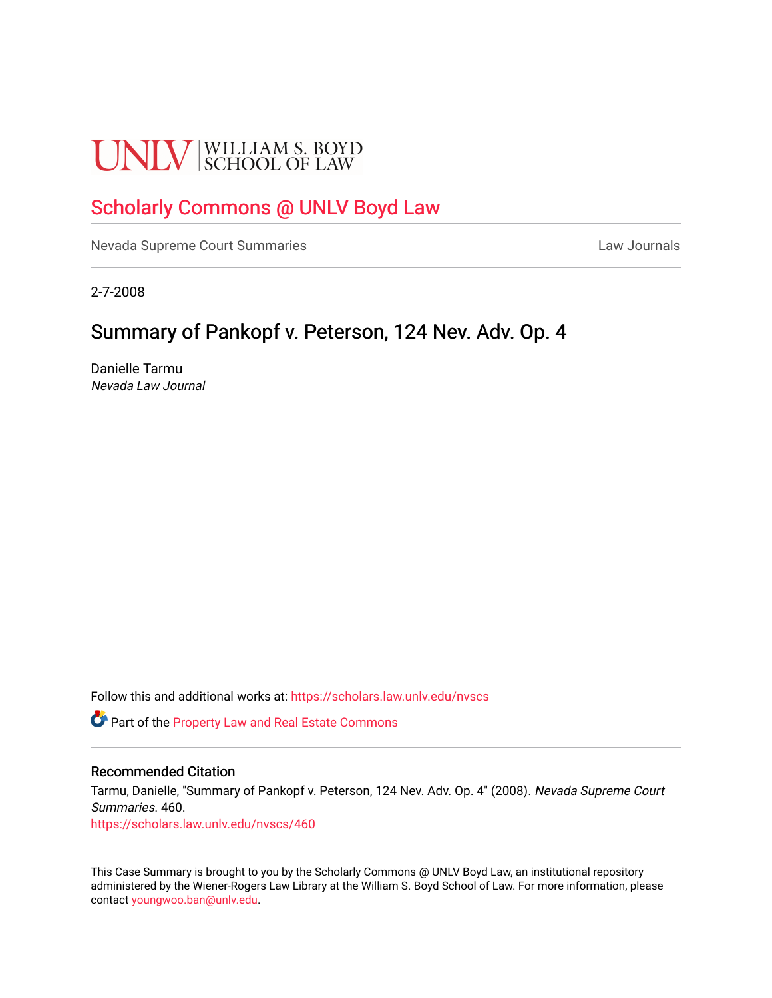# **UNLV** SCHOOL OF LAW

## [Scholarly Commons @ UNLV Boyd Law](https://scholars.law.unlv.edu/)

[Nevada Supreme Court Summaries](https://scholars.law.unlv.edu/nvscs) **Law Journals** Law Journals

2-7-2008

# Summary of Pankopf v. Peterson, 124 Nev. Adv. Op. 4

Danielle Tarmu Nevada Law Journal

Follow this and additional works at: [https://scholars.law.unlv.edu/nvscs](https://scholars.law.unlv.edu/nvscs?utm_source=scholars.law.unlv.edu%2Fnvscs%2F460&utm_medium=PDF&utm_campaign=PDFCoverPages)

Part of the [Property Law and Real Estate Commons](http://network.bepress.com/hgg/discipline/897?utm_source=scholars.law.unlv.edu%2Fnvscs%2F460&utm_medium=PDF&utm_campaign=PDFCoverPages) 

#### Recommended Citation

Tarmu, Danielle, "Summary of Pankopf v. Peterson, 124 Nev. Adv. Op. 4" (2008). Nevada Supreme Court Summaries. 460.

[https://scholars.law.unlv.edu/nvscs/460](https://scholars.law.unlv.edu/nvscs/460?utm_source=scholars.law.unlv.edu%2Fnvscs%2F460&utm_medium=PDF&utm_campaign=PDFCoverPages)

This Case Summary is brought to you by the Scholarly Commons @ UNLV Boyd Law, an institutional repository administered by the Wiener-Rogers Law Library at the William S. Boyd School of Law. For more information, please contact [youngwoo.ban@unlv.edu](mailto:youngwoo.ban@unlv.edu).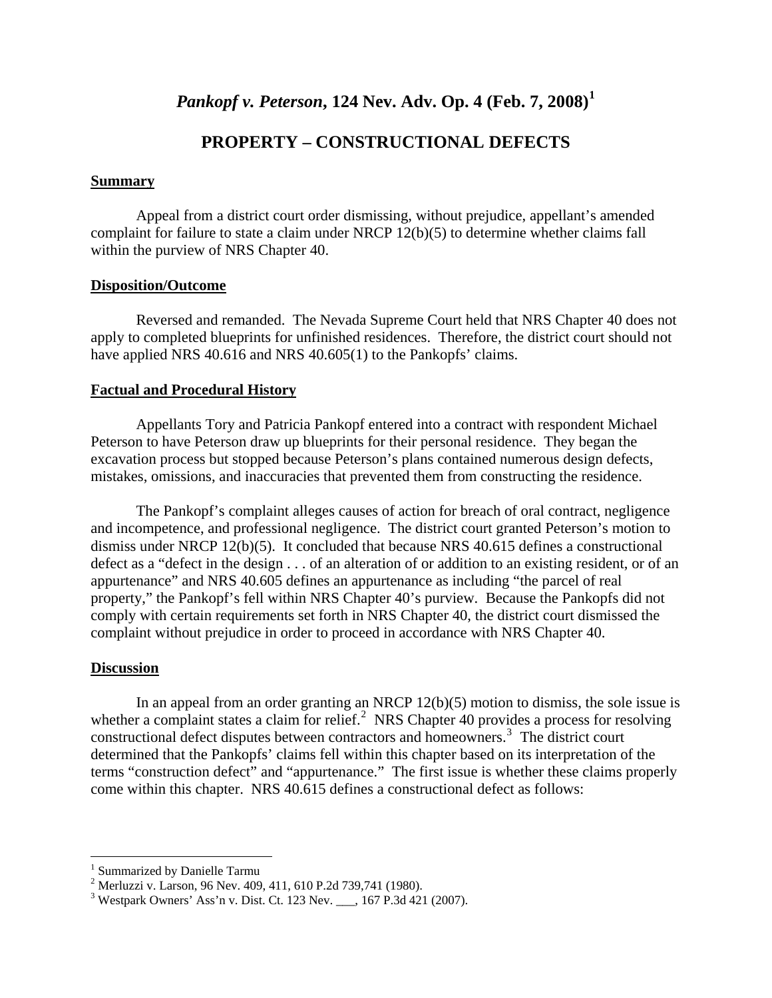## *Pankopf v. Peterson***, 124 Nev. Adv. Op. 4 (Feb. 7, 2008)[1](#page-1-0)**

### **PROPERTY – CONSTRUCTIONAL DEFECTS**

#### **Summary**

Appeal from a district court order dismissing, without prejudice, appellant's amended complaint for failure to state a claim under NRCP 12(b)(5) to determine whether claims fall within the purview of NRS Chapter 40.

#### **Disposition/Outcome**

 Reversed and remanded. The Nevada Supreme Court held that NRS Chapter 40 does not apply to completed blueprints for unfinished residences. Therefore, the district court should not have applied NRS 40.616 and NRS 40.605(1) to the Pankopfs' claims.

#### **Factual and Procedural History**

 Appellants Tory and Patricia Pankopf entered into a contract with respondent Michael Peterson to have Peterson draw up blueprints for their personal residence. They began the excavation process but stopped because Peterson's plans contained numerous design defects, mistakes, omissions, and inaccuracies that prevented them from constructing the residence.

 The Pankopf's complaint alleges causes of action for breach of oral contract, negligence and incompetence, and professional negligence. The district court granted Peterson's motion to dismiss under NRCP 12(b)(5). It concluded that because NRS 40.615 defines a constructional defect as a "defect in the design . . . of an alteration of or addition to an existing resident, or of an appurtenance" and NRS 40.605 defines an appurtenance as including "the parcel of real property," the Pankopf's fell within NRS Chapter 40's purview. Because the Pankopfs did not comply with certain requirements set forth in NRS Chapter 40, the district court dismissed the complaint without prejudice in order to proceed in accordance with NRS Chapter 40.

#### **Discussion**

 $\overline{a}$ 

In an appeal from an order granting an NRCP  $12(b)(5)$  motion to dismiss, the sole issue is whether a complaint states a claim for relief.<sup>[2](#page-1-1)</sup> NRS Chapter 40 provides a process for resolving constructional defect disputes between contractors and homeowners.[3](#page-1-2) The district court determined that the Pankopfs' claims fell within this chapter based on its interpretation of the terms "construction defect" and "appurtenance." The first issue is whether these claims properly come within this chapter. NRS 40.615 defines a constructional defect as follows:

<span id="page-1-0"></span><sup>&</sup>lt;sup>1</sup> Summarized by Danielle Tarmu

<span id="page-1-1"></span><sup>2</sup> Merluzzi v. Larson, 96 Nev. 409, 411, 610 P.2d 739,741 (1980).

<span id="page-1-2"></span><sup>&</sup>lt;sup>3</sup> Westpark Owners' Ass'n v. Dist. Ct. 123 Nev. \_\_\_, 167 P.3d 421 (2007).